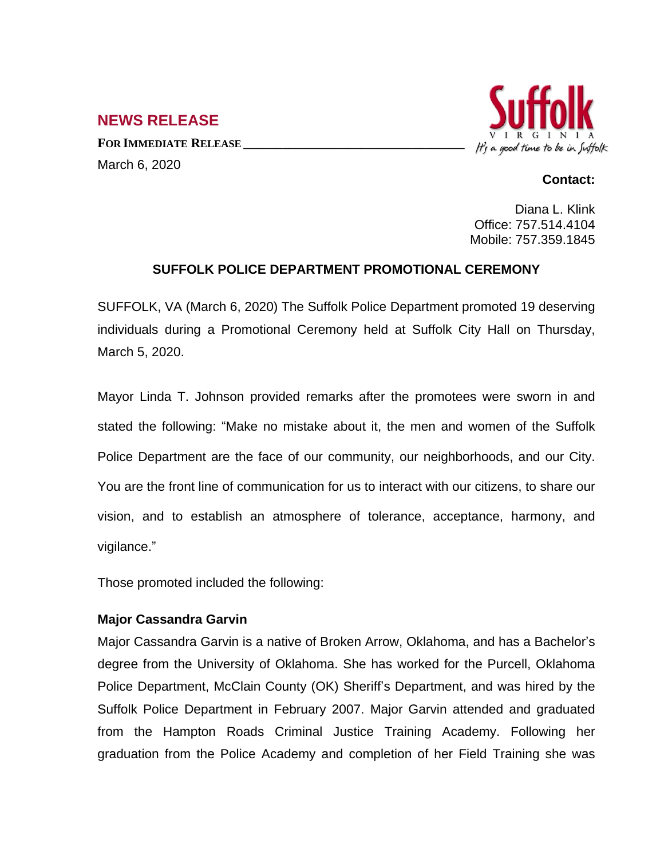# **NEWS RELEASE**

**FOR IMMEDIATE RELEASE \_\_\_\_\_\_\_\_\_\_\_\_\_\_\_\_\_\_\_\_\_\_\_\_\_\_\_\_\_\_\_\_\_\_** March 6, 2020



#### **Contact:**

Diana L. Klink Office: 757.514.4104 Mobile: 757.359.1845

### **SUFFOLK POLICE DEPARTMENT PROMOTIONAL CEREMONY**

SUFFOLK, VA (March 6, 2020) The Suffolk Police Department promoted 19 deserving individuals during a Promotional Ceremony held at Suffolk City Hall on Thursday, March 5, 2020.

Mayor Linda T. Johnson provided remarks after the promotees were sworn in and stated the following: "Make no mistake about it, the men and women of the Suffolk Police Department are the face of our community, our neighborhoods, and our City. You are the front line of communication for us to interact with our citizens, to share our vision, and to establish an atmosphere of tolerance, acceptance, harmony, and vigilance."

Those promoted included the following:

### **Major Cassandra Garvin**

Major Cassandra Garvin is a native of Broken Arrow, Oklahoma, and has a Bachelor's degree from the University of Oklahoma. She has worked for the Purcell, Oklahoma Police Department, McClain County (OK) Sheriff's Department, and was hired by the Suffolk Police Department in February 2007. Major Garvin attended and graduated from the Hampton Roads Criminal Justice Training Academy. Following her graduation from the Police Academy and completion of her Field Training she was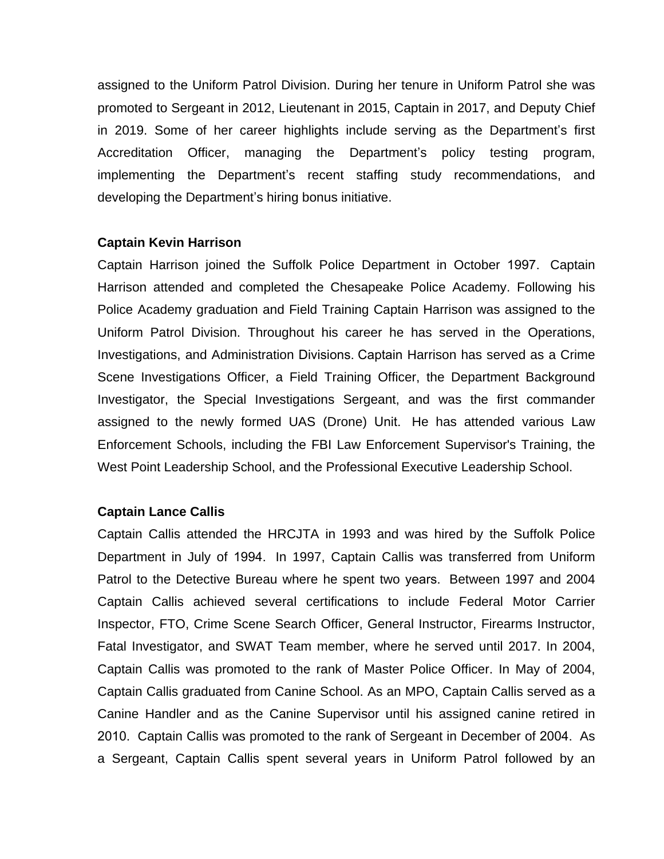assigned to the Uniform Patrol Division. During her tenure in Uniform Patrol she was promoted to Sergeant in 2012, Lieutenant in 2015, Captain in 2017, and Deputy Chief in 2019. Some of her career highlights include serving as the Department's first Accreditation Officer, managing the Department's policy testing program, implementing the Department's recent staffing study recommendations, and developing the Department's hiring bonus initiative.

#### **Captain Kevin Harrison**

Captain Harrison joined the Suffolk Police Department in October 1997. Captain Harrison attended and completed the Chesapeake Police Academy. Following his Police Academy graduation and Field Training Captain Harrison was assigned to the Uniform Patrol Division. Throughout his career he has served in the Operations, Investigations, and Administration Divisions. Captain Harrison has served as a Crime Scene Investigations Officer, a Field Training Officer, the Department Background Investigator, the Special Investigations Sergeant, and was the first commander assigned to the newly formed UAS (Drone) Unit. He has attended various Law Enforcement Schools, including the FBI Law Enforcement Supervisor's Training, the West Point Leadership School, and the Professional Executive Leadership School.

#### **Captain Lance Callis**

Captain Callis attended the HRCJTA in 1993 and was hired by the Suffolk Police Department in July of 1994. In 1997, Captain Callis was transferred from Uniform Patrol to the Detective Bureau where he spent two years. Between 1997 and 2004 Captain Callis achieved several certifications to include Federal Motor Carrier Inspector, FTO, Crime Scene Search Officer, General Instructor, Firearms Instructor, Fatal Investigator, and SWAT Team member, where he served until 2017. In 2004, Captain Callis was promoted to the rank of Master Police Officer. In May of 2004, Captain Callis graduated from Canine School. As an MPO, Captain Callis served as a Canine Handler and as the Canine Supervisor until his assigned canine retired in 2010. Captain Callis was promoted to the rank of Sergeant in December of 2004. As a Sergeant, Captain Callis spent several years in Uniform Patrol followed by an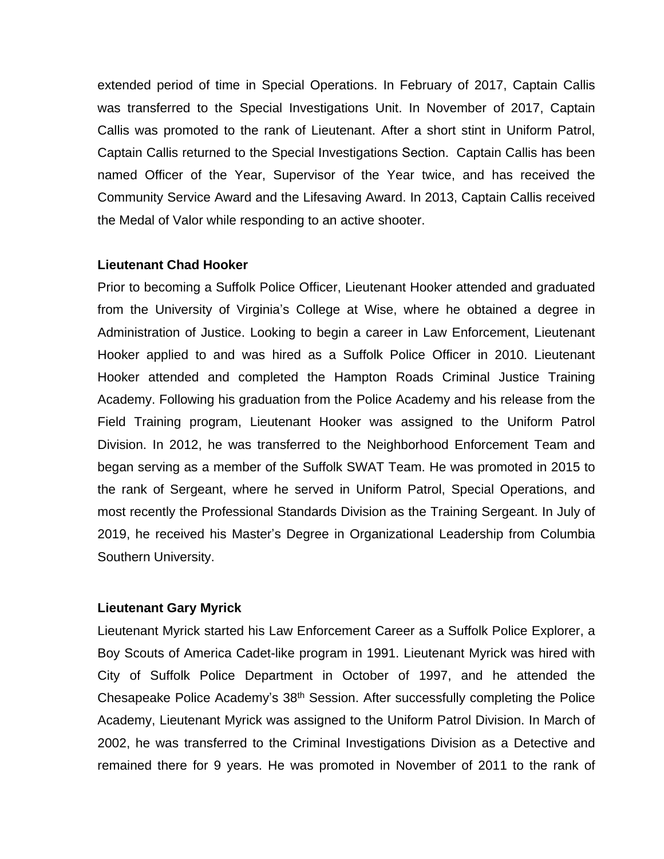extended period of time in Special Operations. In February of 2017, Captain Callis was transferred to the Special Investigations Unit. In November of 2017, Captain Callis was promoted to the rank of Lieutenant. After a short stint in Uniform Patrol, Captain Callis returned to the Special Investigations Section. Captain Callis has been named Officer of the Year, Supervisor of the Year twice, and has received the Community Service Award and the Lifesaving Award. In 2013, Captain Callis received the Medal of Valor while responding to an active shooter.

#### **Lieutenant Chad Hooker**

Prior to becoming a Suffolk Police Officer, Lieutenant Hooker attended and graduated from the University of Virginia's College at Wise, where he obtained a degree in Administration of Justice. Looking to begin a career in Law Enforcement, Lieutenant Hooker applied to and was hired as a Suffolk Police Officer in 2010. Lieutenant Hooker attended and completed the Hampton Roads Criminal Justice Training Academy. Following his graduation from the Police Academy and his release from the Field Training program, Lieutenant Hooker was assigned to the Uniform Patrol Division. In 2012, he was transferred to the Neighborhood Enforcement Team and began serving as a member of the Suffolk SWAT Team. He was promoted in 2015 to the rank of Sergeant, where he served in Uniform Patrol, Special Operations, and most recently the Professional Standards Division as the Training Sergeant. In July of 2019, he received his Master's Degree in Organizational Leadership from Columbia Southern University.

### **Lieutenant Gary Myrick**

Lieutenant Myrick started his Law Enforcement Career as a Suffolk Police Explorer, a Boy Scouts of America Cadet-like program in 1991. Lieutenant Myrick was hired with City of Suffolk Police Department in October of 1997, and he attended the Chesapeake Police Academy's 38th Session. After successfully completing the Police Academy, Lieutenant Myrick was assigned to the Uniform Patrol Division. In March of 2002, he was transferred to the Criminal Investigations Division as a Detective and remained there for 9 years. He was promoted in November of 2011 to the rank of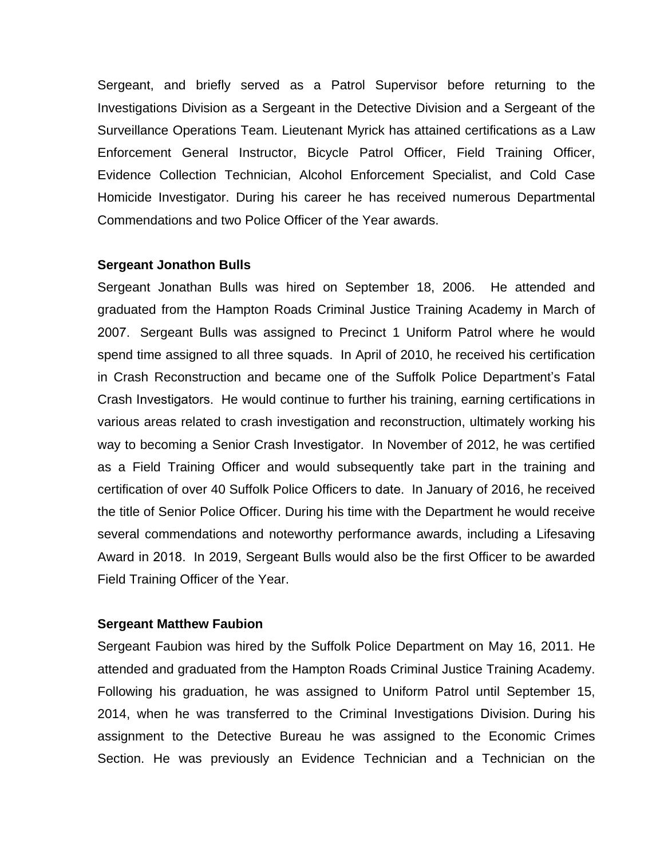Sergeant, and briefly served as a Patrol Supervisor before returning to the Investigations Division as a Sergeant in the Detective Division and a Sergeant of the Surveillance Operations Team. Lieutenant Myrick has attained certifications as a Law Enforcement General Instructor, Bicycle Patrol Officer, Field Training Officer, Evidence Collection Technician, Alcohol Enforcement Specialist, and Cold Case Homicide Investigator. During his career he has received numerous Departmental Commendations and two Police Officer of the Year awards.

#### **Sergeant Jonathon Bulls**

Sergeant Jonathan Bulls was hired on September 18, 2006. He attended and graduated from the Hampton Roads Criminal Justice Training Academy in March of 2007. Sergeant Bulls was assigned to Precinct 1 Uniform Patrol where he would spend time assigned to all three squads. In April of 2010, he received his certification in Crash Reconstruction and became one of the Suffolk Police Department's Fatal Crash Investigators. He would continue to further his training, earning certifications in various areas related to crash investigation and reconstruction, ultimately working his way to becoming a Senior Crash Investigator. In November of 2012, he was certified as a Field Training Officer and would subsequently take part in the training and certification of over 40 Suffolk Police Officers to date. In January of 2016, he received the title of Senior Police Officer. During his time with the Department he would receive several commendations and noteworthy performance awards, including a Lifesaving Award in 2018. In 2019, Sergeant Bulls would also be the first Officer to be awarded Field Training Officer of the Year.

#### **Sergeant Matthew Faubion**

Sergeant Faubion was hired by the Suffolk Police Department on May 16, 2011. He attended and graduated from the Hampton Roads Criminal Justice Training Academy. Following his graduation, he was assigned to Uniform Patrol until September 15, 2014, when he was transferred to the Criminal Investigations Division. During his assignment to the Detective Bureau he was assigned to the Economic Crimes Section. He was previously an Evidence Technician and a Technician on the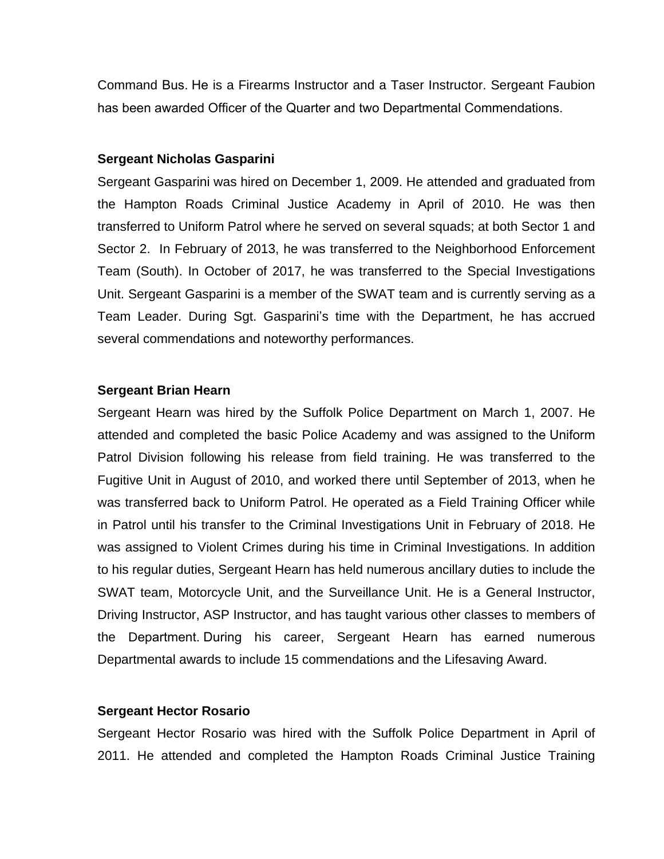Command Bus. He is a Firearms Instructor and a Taser Instructor. Sergeant Faubion has been awarded Officer of the Quarter and two Departmental Commendations.

#### **Sergeant Nicholas Gasparini**

Sergeant Gasparini was hired on December 1, 2009. He attended and graduated from the Hampton Roads Criminal Justice Academy in April of 2010. He was then transferred to Uniform Patrol where he served on several squads; at both Sector 1 and Sector 2. In February of 2013, he was transferred to the Neighborhood Enforcement Team (South). In October of 2017, he was transferred to the Special Investigations Unit. Sergeant Gasparini is a member of the SWAT team and is currently serving as a Team Leader. During Sgt. Gasparini's time with the Department, he has accrued several commendations and noteworthy performances.

#### **Sergeant Brian Hearn**

Sergeant Hearn was hired by the Suffolk Police Department on March 1, 2007. He attended and completed the basic Police Academy and was assigned to the Uniform Patrol Division following his release from field training. He was transferred to the Fugitive Unit in August of 2010, and worked there until September of 2013, when he was transferred back to Uniform Patrol. He operated as a Field Training Officer while in Patrol until his transfer to the Criminal Investigations Unit in February of 2018. He was assigned to Violent Crimes during his time in Criminal Investigations. In addition to his regular duties, Sergeant Hearn has held numerous ancillary duties to include the SWAT team, Motorcycle Unit, and the Surveillance Unit. He is a General Instructor, Driving Instructor, ASP Instructor, and has taught various other classes to members of the Department. During his career, Sergeant Hearn has earned numerous Departmental awards to include 15 commendations and the Lifesaving Award.

### **Sergeant Hector Rosario**

Sergeant Hector Rosario was hired with the Suffolk Police Department in April of 2011. He attended and completed the Hampton Roads Criminal Justice Training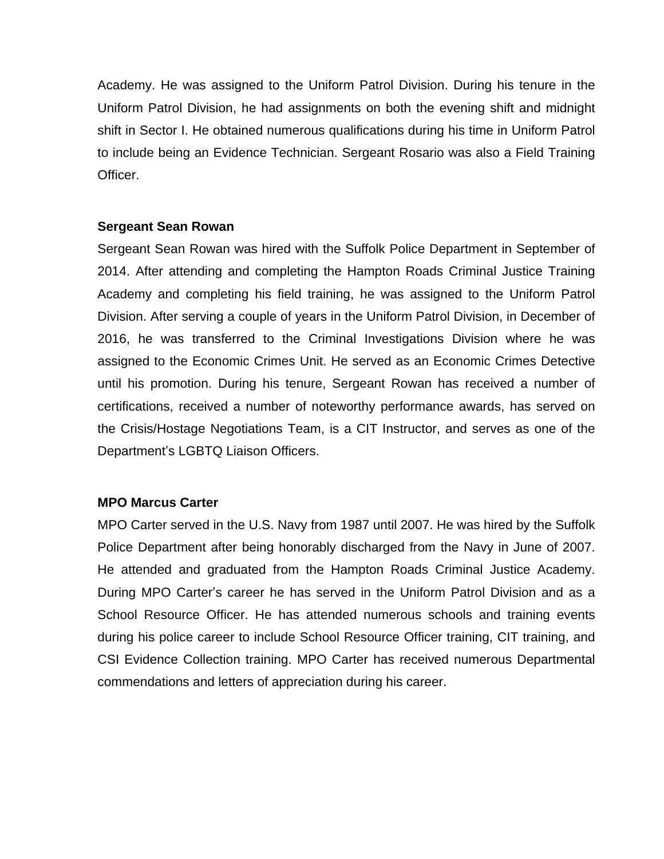Academy. He was assigned to the Uniform Patrol Division. During his tenure in the Uniform Patrol Division, he had assignments on both the evening shift and midnight shift in Sector I. He obtained numerous qualifications during his time in Uniform Patrol to include being an Evidence Technician. Sergeant Rosario was also a Field Training Officer.

### **Sergeant Sean Rowan**

Sergeant Sean Rowan was hired with the Suffolk Police Department in September of 2014. After attending and completing the Hampton Roads Criminal Justice Training Academy and completing his field training, he was assigned to the Uniform Patrol Division. After serving a couple of years in the Uniform Patrol Division, in December of 2016, he was transferred to the Criminal Investigations Division where he was assigned to the Economic Crimes Unit. He served as an Economic Crimes Detective until his promotion. During his tenure, Sergeant Rowan has received a number of certifications, received a number of noteworthy performance awards, has served on the Crisis/Hostage Negotiations Team, is a CIT Instructor, and serves as one of the Department's LGBTQ Liaison Officers.

### **MPO Marcus Carter**

MPO Carter served in the U.S. Navy from 1987 until 2007. He was hired by the Suffolk Police Department after being honorably discharged from the Navy in June of 2007. He attended and graduated from the Hampton Roads Criminal Justice Academy. During MPO Carter's career he has served in the Uniform Patrol Division and as a School Resource Officer. He has attended numerous schools and training events during his police career to include School Resource Officer training, CIT training, and CSI Evidence Collection training. MPO Carter has received numerous Departmental commendations and letters of appreciation during his career.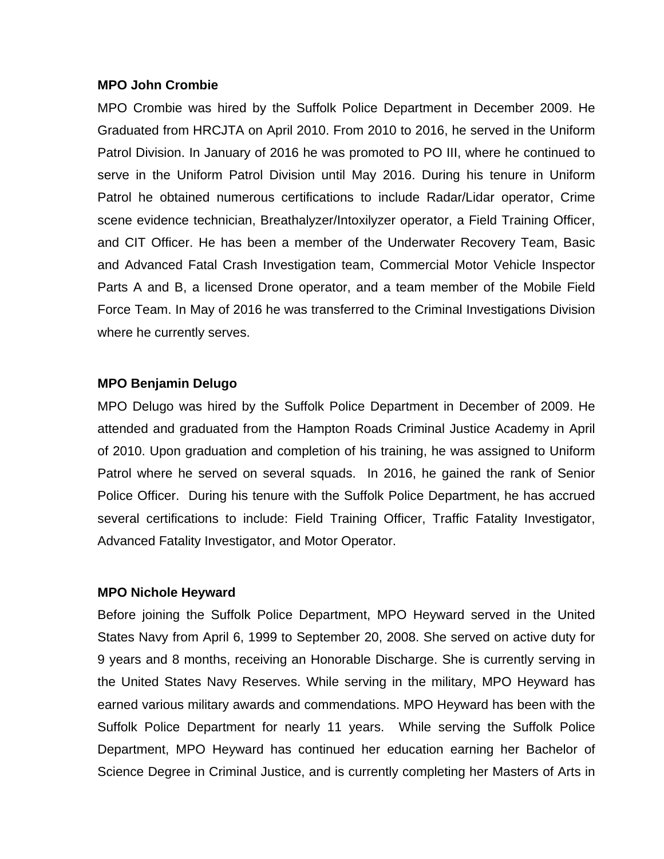#### **MPO John Crombie**

MPO Crombie was hired by the Suffolk Police Department in December 2009. He Graduated from HRCJTA on April 2010. From 2010 to 2016, he served in the Uniform Patrol Division. In January of 2016 he was promoted to PO III, where he continued to serve in the Uniform Patrol Division until May 2016. During his tenure in Uniform Patrol he obtained numerous certifications to include Radar/Lidar operator, Crime scene evidence technician, Breathalyzer/Intoxilyzer operator, a Field Training Officer, and CIT Officer. He has been a member of the Underwater Recovery Team, Basic and Advanced Fatal Crash Investigation team, Commercial Motor Vehicle Inspector Parts A and B, a licensed Drone operator, and a team member of the Mobile Field Force Team. In May of 2016 he was transferred to the Criminal Investigations Division where he currently serves.

### **MPO Benjamin Delugo**

MPO Delugo was hired by the Suffolk Police Department in December of 2009. He attended and graduated from the Hampton Roads Criminal Justice Academy in April of 2010. Upon graduation and completion of his training, he was assigned to Uniform Patrol where he served on several squads. In 2016, he gained the rank of Senior Police Officer. During his tenure with the Suffolk Police Department, he has accrued several certifications to include: Field Training Officer, Traffic Fatality Investigator, Advanced Fatality Investigator, and Motor Operator.

### **MPO Nichole Heyward**

Before joining the Suffolk Police Department, MPO Heyward served in the United States Navy from April 6, 1999 to September 20, 2008. She served on active duty for 9 years and 8 months, receiving an Honorable Discharge. She is currently serving in the United States Navy Reserves. While serving in the military, MPO Heyward has earned various military awards and commendations. MPO Heyward has been with the Suffolk Police Department for nearly 11 years. While serving the Suffolk Police Department, MPO Heyward has continued her education earning her Bachelor of Science Degree in Criminal Justice, and is currently completing her Masters of Arts in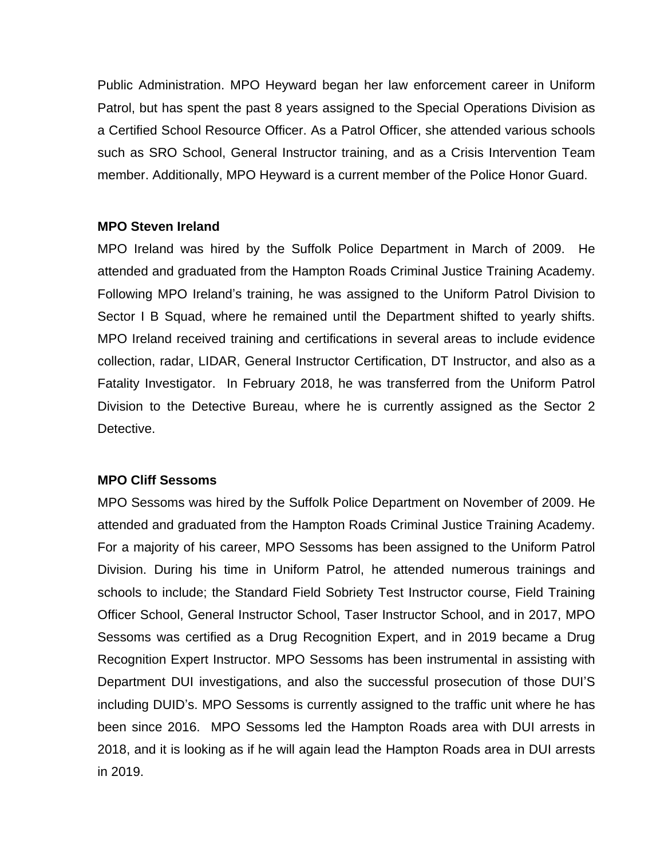Public Administration. MPO Heyward began her law enforcement career in Uniform Patrol, but has spent the past 8 years assigned to the Special Operations Division as a Certified School Resource Officer. As a Patrol Officer, she attended various schools such as SRO School, General Instructor training, and as a Crisis Intervention Team member. Additionally, MPO Heyward is a current member of the Police Honor Guard.

### **MPO Steven Ireland**

MPO Ireland was hired by the Suffolk Police Department in March of 2009. He attended and graduated from the Hampton Roads Criminal Justice Training Academy. Following MPO Ireland's training, he was assigned to the Uniform Patrol Division to Sector I B Squad, where he remained until the Department shifted to yearly shifts. MPO Ireland received training and certifications in several areas to include evidence collection, radar, LIDAR, General Instructor Certification, DT Instructor, and also as a Fatality Investigator. In February 2018, he was transferred from the Uniform Patrol Division to the Detective Bureau, where he is currently assigned as the Sector 2 Detective.

## **MPO Cliff Sessoms**

MPO Sessoms was hired by the Suffolk Police Department on November of 2009. He attended and graduated from the Hampton Roads Criminal Justice Training Academy. For a majority of his career, MPO Sessoms has been assigned to the Uniform Patrol Division. During his time in Uniform Patrol, he attended numerous trainings and schools to include; the Standard Field Sobriety Test Instructor course, Field Training Officer School, General Instructor School, Taser Instructor School, and in 2017, MPO Sessoms was certified as a Drug Recognition Expert, and in 2019 became a Drug Recognition Expert Instructor. MPO Sessoms has been instrumental in assisting with Department DUI investigations, and also the successful prosecution of those DUI'S including DUID's. MPO Sessoms is currently assigned to the traffic unit where he has been since 2016. MPO Sessoms led the Hampton Roads area with DUI arrests in 2018, and it is looking as if he will again lead the Hampton Roads area in DUI arrests in 2019.